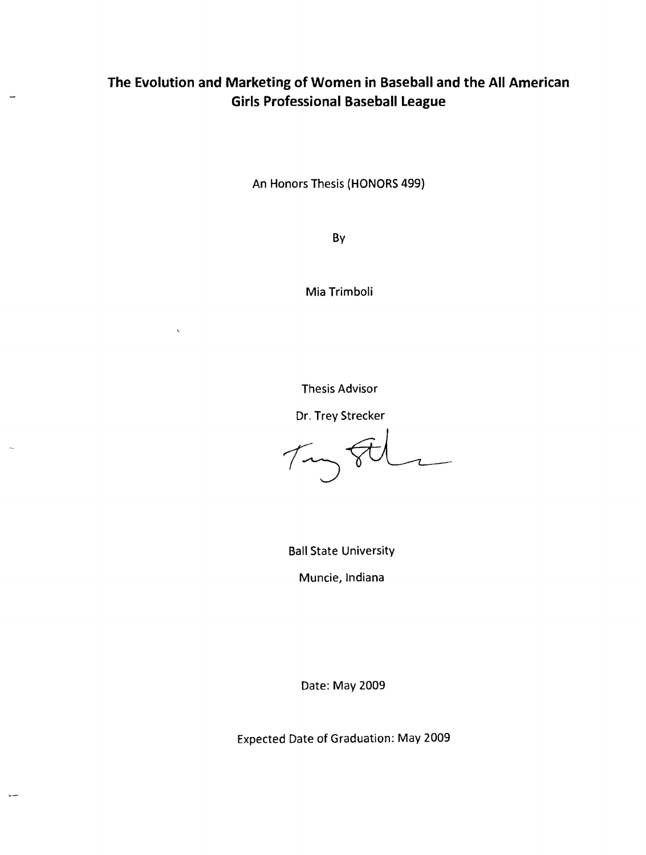# **The Evolution and Marketing of Women in Baseball and the All American Girls Professional Baseball League**

An Honors Thesis (HONORS 499)

By

Mia Trimboli

 $\ddot{\phantom{0}}$ 

Thesis Advisor

Dr. Trey Strecker

 $\tau$ 

Ball State University

Muncie, Indiana

Date: May 2009

Expected Date of Graduation: May 2009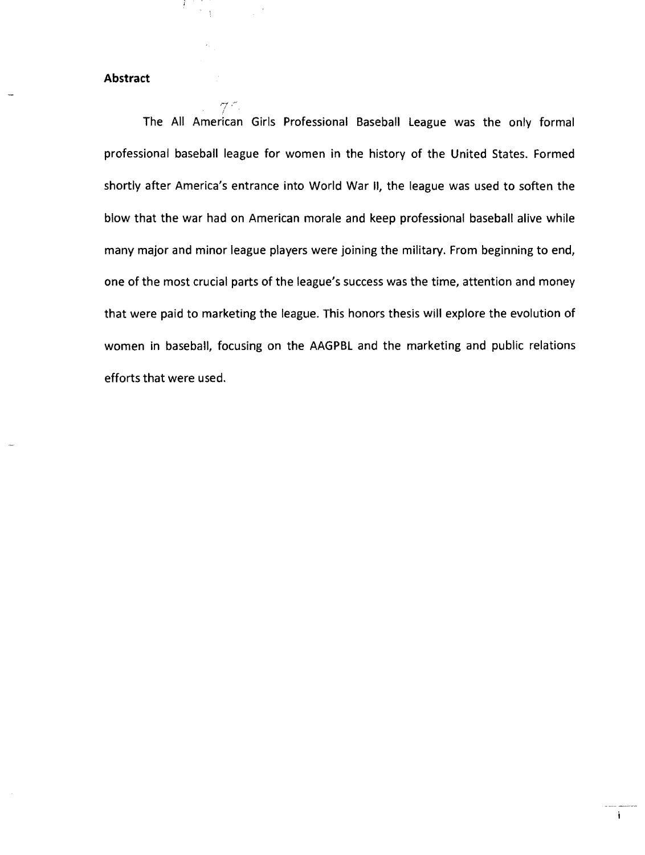## **Abstract**

'7

The All American Girls Professional Baseball League was the only formal professional baseball league for women in the history of the United States. Formed shortly after America's entrance into World War II, the league was used to soften the blow that the war had on American morale and keep professional baseball alive while many mqjor and minor league players were joining the military. From beginning to end, one of the most crucial parts of the league's success was the time, attention and money that were paid to marketing the league. This honors thesis will explore the evolution of women in baseball, focusing on the AAGPBl and the marketing and public relations efforts that were used.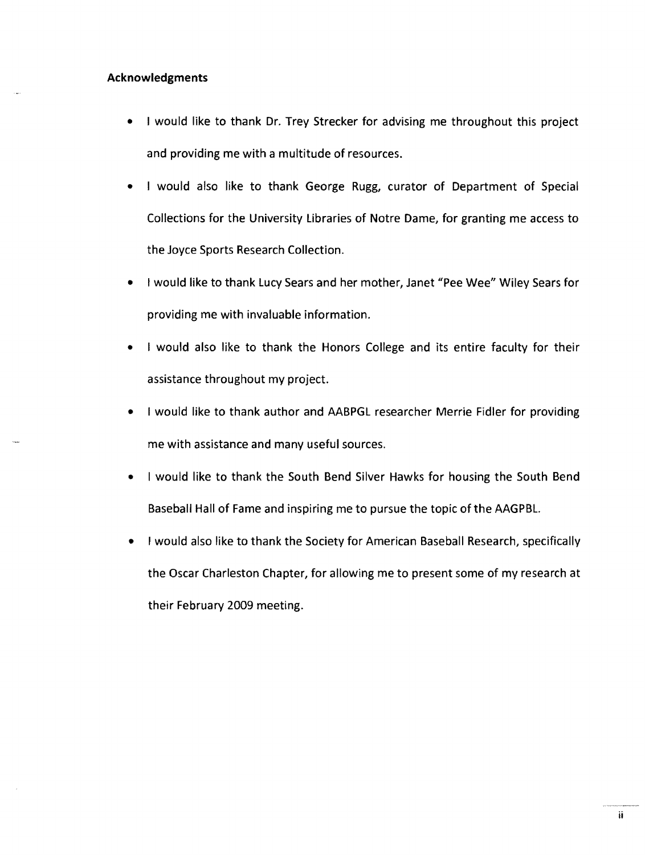## Acknowledgments

- I would like to thank Dr. Trey Strecker for advising me throughout this project and providing me with a multitude of resources.
- I would also like to thank George Rugg, curator of Department of Special Collections for the University libraries of Notre Dame, for granting me access to the Joyce Sports Research Collection.
- I would like to thank lucy Sears and her mother, Janet "Pee Wee" Wiley Sears for providing me with invaluable information.
- I would also like to thank the Honors College and its entire faculty for their assistance throughout my project.
- I would like to thank author and AABPGl researcher Merrie Fidler for providing me with assistance and many useful sources.
- I would like to thank the South Bend Silver Hawks for housing the South Bend Baseball Hall of Fame and inspiring me to pursue the topic of the AAGPBL
- I would also like to thank the Society for American Baseball Research, specifically the Oscar Charleston Chapter, for allowing me to present some of my research at their February 2009 meeting.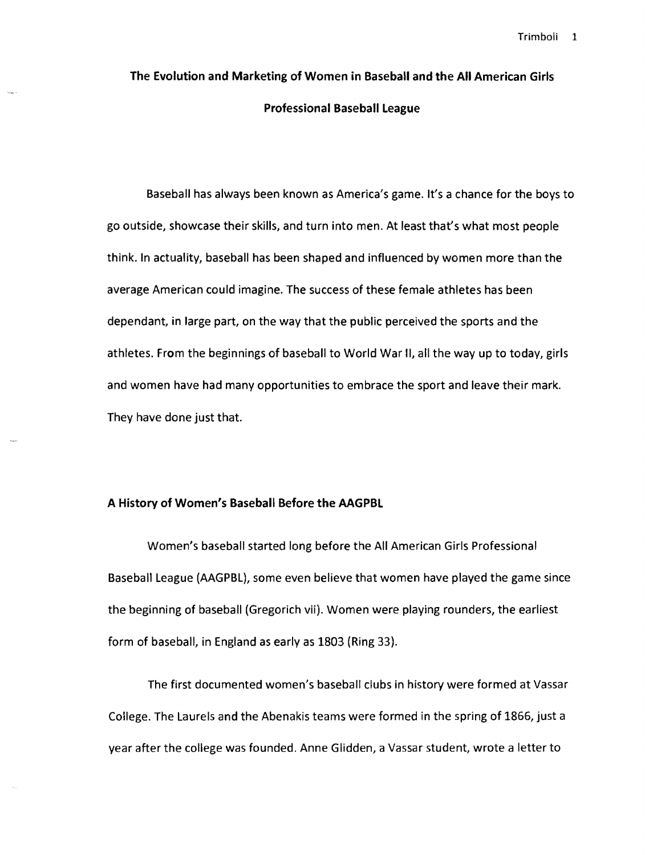# The Evolution and Marketing of Women in Baseball and the All American Girls Professional Baseball League

Baseball has always been known as America's game. It's a chance for the boys to go outside, showcase their skills, and turn into men. At least that's what most people think. In actuality, baseball has been shaped and influenced by women more than the average American could imagine. The success of these female athletes has been dependant, in large part, on the way that the public perceived the sports and the athletes. From the beginnings of baseball to World War II, all the way up to today, girls and women have had many opportunities to embrace the sport and leave their mark. They have done just that.

#### A History of Women's Baseball Before the AAGPBL

Women's baseball started long before the All American Girls Professional Baseball League (AAGPBL), some even believe that women have played the game since the beginning of baseball (Gregorich vir). Women were playing rounders, the earliest form of baseball, in England as early as 1803 (Ring 33).

The first documented women's baseball clubs in history were formed at Vassar College. The Laurels and the Abenakis teams were formed in the spring of 1866, just a year after the college was founded. Anne Glidden, a Vassar student, wrote a letter to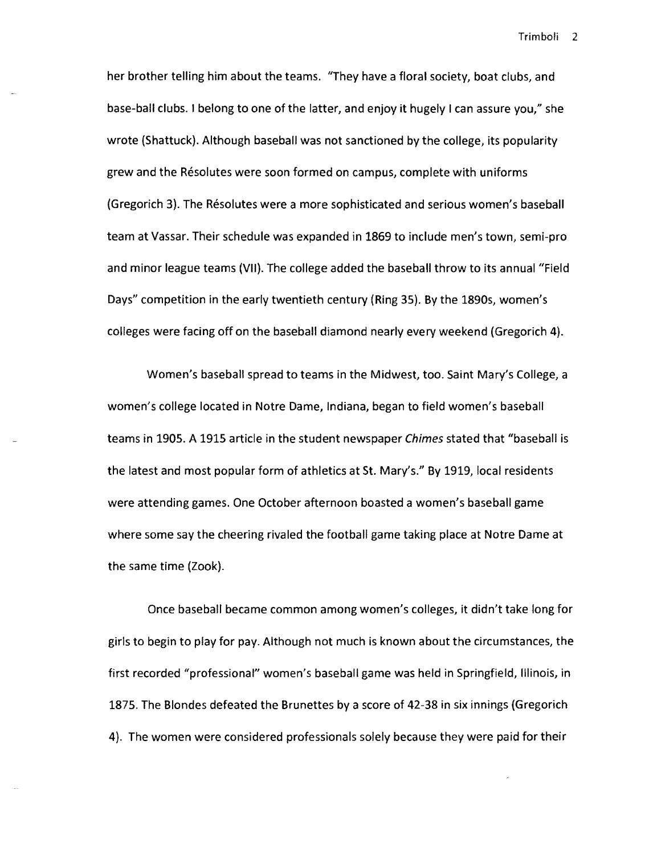her brother telling him about the teams. "They have a floral society, boat clubs, and base-ball clubs. I belong to one of the latter, and enjoy it hugely I can assure you," she wrote (Shattuck). Although baseball was not sanctioned by the college, its popularity grew and the Resolutes were soon formed on campus, complete with uniforms (Gregorich 3). The Resolutes were a more sophisticated and serious women's baseball team at Vassar. Their schedule was expanded in 1869 to include men's town, semi-pro and minor league teams (VII). The college added the baseball throw to its annual "Field Days" competition in the early twentieth century (Ring 35). By the 1890s, women's colleges were facing off on the baseball diamond nearly every weekend (Gregorich 4).

Women's baseball spread to teams in the Midwest, too. Saint Mary's College, a women's college located in Notre Dame, Indiana, began to field women's baseball teams in 1905. A 1915 article in the student newspaper Chimes stated that "baseball is the latest and most popular form of athletics at St. Mary's." By 1919, local residents were attending games. One October afternoon boasted a women's baseball game where some say the cheering rivaled the football game taking place at Notre Dame at the same time (Zook).

Once baseball became common among women's colleges, it didn't take long for girls to begin to play for pay. Although not much is known about the circumstances, the first recorded "professional" women's baseball game was held in Springfield, Illinois, in 1875. The Blondes defeated the Brunettes by a score of 42-38 in six innings (Gregorich 4). The women were considered professionals solely because they were paid for their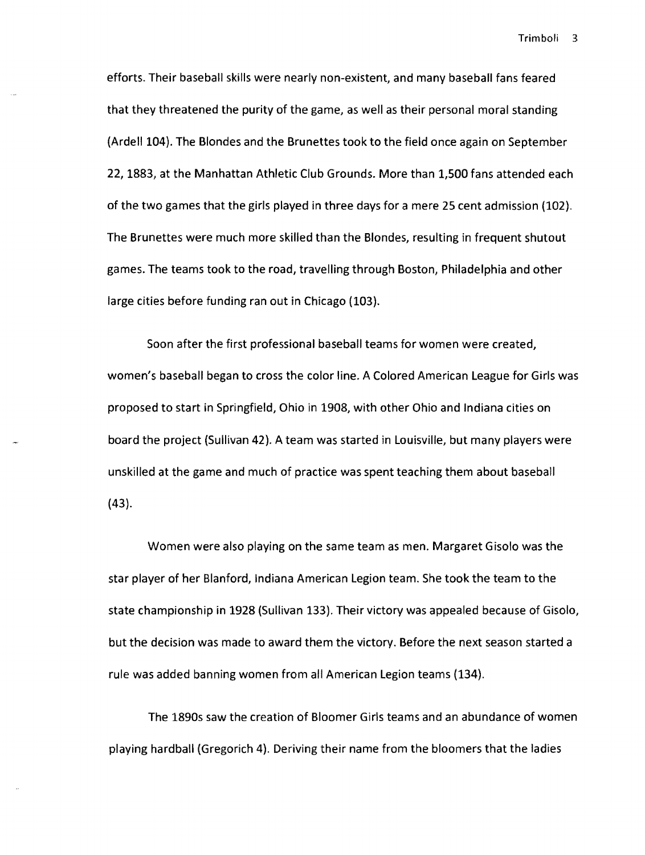efforts. Their baseball skills were nearly non-existent, and many baseball fans feared that they threatened the purity of the game, as well as their personal moral standing (Ardell 104). The Blondes and the Brunettes took to the field once again on September 22, 1883, at the Manhattan Athletic Club Grounds. More than 1,500 fans attended each of the two games that the girls played in three days for a mere 25 cent admission (102). The Brunettes were much more skilled than the Blondes, resulting in frequent shutout games. The teams took to the road, travelling through Boston, Philadelphia and other large cities before funding ran out in Chicago (103).

Soon after the first professional baseball teams for women were created, women's baseball began to cross the color line. A Colored American League for Girls was proposed to start in Springfield, Ohio in 1908, with other Ohio and Indiana cities on board the project (Sullivan 42). A team was started in Louisville, but many players were unskilled at the game and much of practice was spent teaching them about baseball (43).

Women were also playing on the same team as men. Margaret Gisolo was the star player of her Blanford, Indiana American Legion team. She took the team to the state championship in 1928 (Sullivan 133). Their victory was appealed because of Gisolo, but the decision was made to award them the victory. Before the next season started a rule was added banning women from all American Legion teams (134).

The 1890s saw the creation of Bloomer Girls teams and an abundance of women playing hardball (Gregorich 4). Deriving their name from the bloomers that the ladies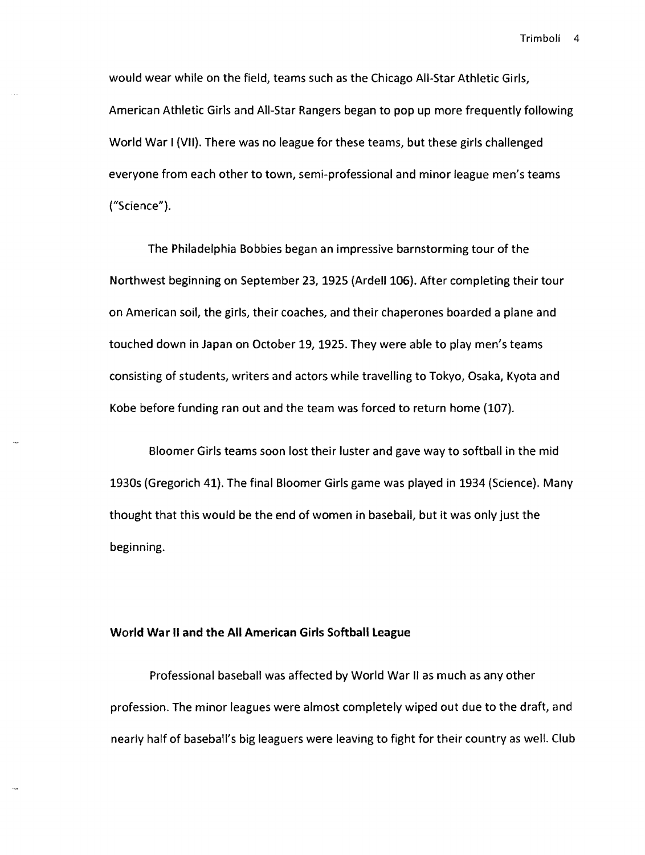would wear while on the field, teams such as the Chicago All-Star Athletic Girls, American Athletic Girls and All-Star Rangers began to pop up more frequently following World War I (VII). There was no league for these teams, but these girls challenged everyone from each other to town, semi-professional and minor league men's teams ("Science").

The Philadelphia Bobbies began an impressive barnstorming tour of the Northwest beginning on September 23, 1925 (Ardell 106). After completing their tour on American soil, the girls, their coaches, and their chaperones boarded a plane and touched down in Japan on October 19,1925. They were able to play men's teams consisting of students, writers and actors while travelling to Tokyo, Osaka, Kyota and Kobe before funding ran out and the team was forced to return home (107).

Bloomer Girls teams soon lost their luster and gave way to softball in the mid 1930s (Gregorich 41). The final Bloomer Girls game was played in 1934 (Science). Many thought that this would be the end of women in baseball, but it was only just the beginning.

#### World War II and the All American Girls Softball league

Professional baseball was affected by World War II as much as any other profession. The minor leagues were almost completely wiped out due to the draft, and nearly half of baseball's big leaguers were leaving to fight for their country as well. Club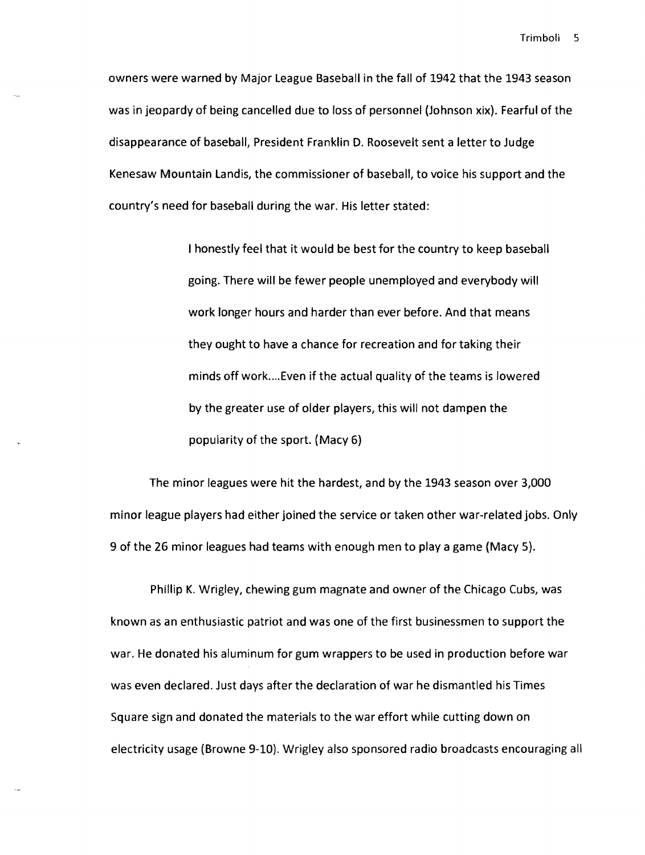owners were warned by Major league Baseball in the fall of 1942 that the 1943 season was in jeopardy of being cancelled due to loss of personnel (Johnson xix). Fearful of the disappearance of baseball, President Franklin D. Roosevelt sent a letter to Judge Kenesaw Mountain landis, the commissioner of baseball, to voice his support and the country's need for baseball during the war. His letter stated:

> I honestly feel that it would be best for the country to keep baseball going. There will be fewer people unemployed and everybody will work longer hours and harder than ever before. And that means they ought to have a chance for recreation and for taking their minds off work .... Even if the actual quality of the teams is lowered by the greater use of older players, this will not dampen the popularity of the sport. (Macy 6)

The minor leagues were hit the hardest, and by the 1943 season over 3,000 minor league players had either joined the service or taken other war-related jobs. Only 9 of the 26 minor leagues had teams with enough men to playa game (Macy 5).

Phillip K. Wrigley, chewing gum magnate and owner of the Chicago Cubs, was known as an enthusiastic patriot and was one of the first businessmen to support the war. He donated his aluminum for gum wrappers to be used in production before war was even declared. Just days after the declaration of war he dismantled his Times Square sign and donated the materials to the war effort while cutting down on electricity usage (Browne 9-10). Wrigley also sponsored radio broadcasts encouraging all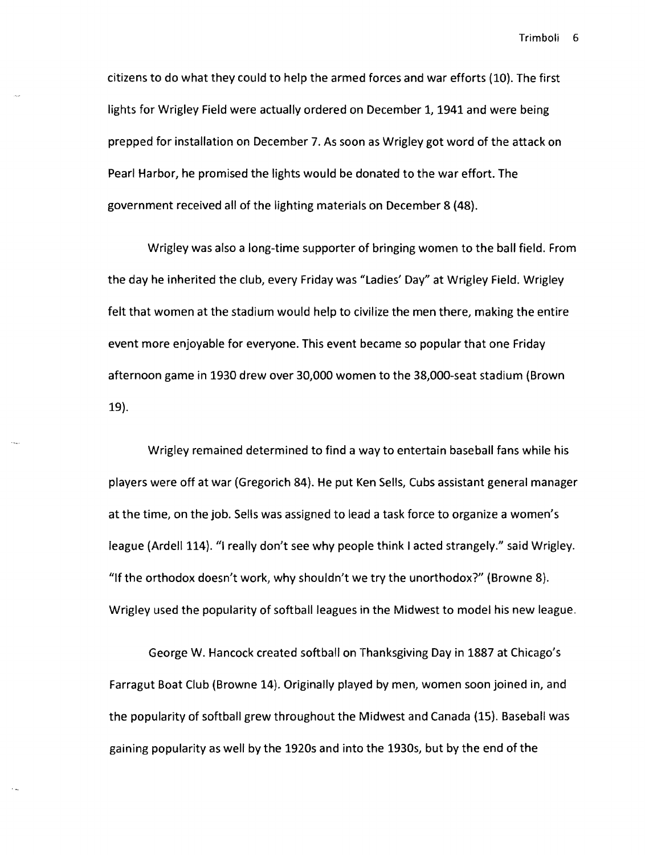citizens to do what they could to help the armed forces and war efforts (10). The first lights for Wrigley Field were actually ordered on December 1, 1941 and were being prepped for installation on December 7. As soon as Wrigley got word of the attack on Pearl Harbor, he promised the lights would be donated to the war effort. The government received all of the lighting materials on December 8 (48).

Wrigley was also a long-time supporter of bringing women to the ball field. From the day he inherited the club, every Friday was "Ladies' Day" at Wrigley Field. Wrigley felt that women at the stadium would help to civilize the men there, making the entire event more enjoyable for everyone. This event became so popular that one Friday afternoon game in 1930 drew over 30,000 women to the 38,OOO-seat stadium (Brown 19).

Wrigley remained determined to find a way to entertain baseball fans while his players were off at war (Gregorich 84). He put Ken Sells, Cubs assistant general manager at the time, on the job. Sells was assigned to lead a task force to organize a women's league (Ardell 114). "I really don't see why people think I acted strangely." said Wrigley. "lf the orthodox doesn't work, why shouldn't we try the unorthodox?" (Browne 8). Wrigley used the popularity of softball leagues in the Midwest to model his new league.

George W. Hancock created softball on Thanksgiving Day in 1887 at Chicago's Farragut Boat Club (Browne 14). Originally played by men, women soon joined in, and the popularity of softball grew throughout the Midwest and Canada (15). Baseball was gaining popularity as well by the 1920s and into the 1930s, but by the end of the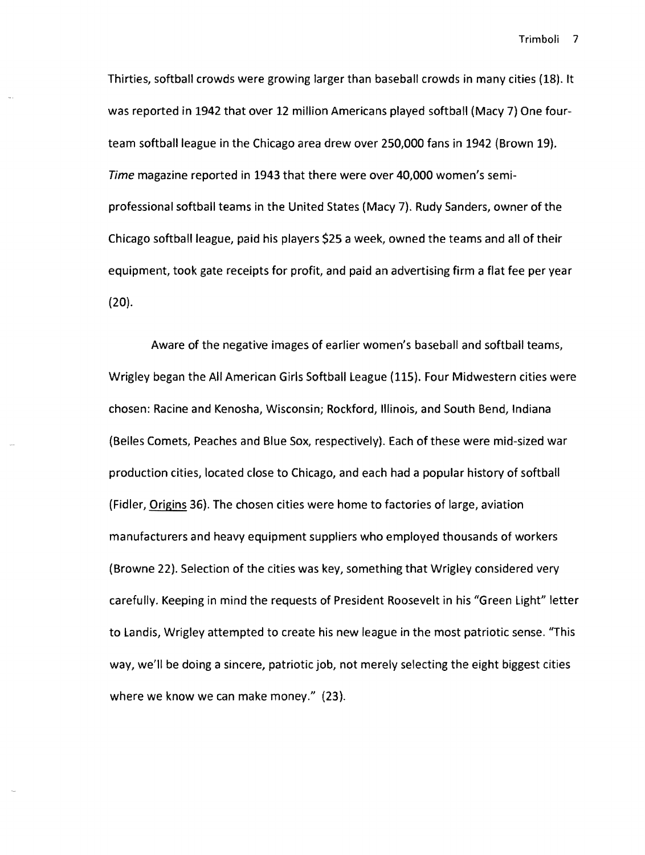Thirties, softball crowds were growing larger than baseball crowds in many cities (18). It was reported in 1942 that over 12 million Americans played softball (Macy 7) One fourteam softball league in the Chicago area drew over 250,000 fans in 1942 (Brown 19). Time magazine reported in 1943 that there were over 40,000 women's semiprofessional softball teams in the United States (Macy 7). Rudy Sanders, owner of the Chicago softball league, paid his players \$25 a week, owned the teams and all of their equipment, took gate receipts for profit, and paid an advertising firm a flat fee per year (20).

Aware of the negative images of earlier women's baseball and softball teams, Wrigley began the All American Girls Softball league (115). Four Midwestern cities were chosen: Racine and Kenosha, Wisconsin; Rockford, Illinois, and South Bend, Indiana (Belles Comets, Peaches and Blue Sox, respectively). Each of these were mid-sized war production cities, located close to Chicago, and each had a popular history of softball (Fidler, Origins 36). The chosen cities were home to factories of large, aviation manufacturers and heavy equipment suppliers who employed thousands of workers (Browne 22). Selection of the cities was key, something that Wrigley considered very carefully. Keeping in mind the requests of President Roosevelt in his "Green light" letter to Landis, Wrigley attempted to create his new league in the most patriotic sense. "This way, we'll be doing a sincere, patriotic job, not merely selecting the eight biggest cities where we know we can make money." (23).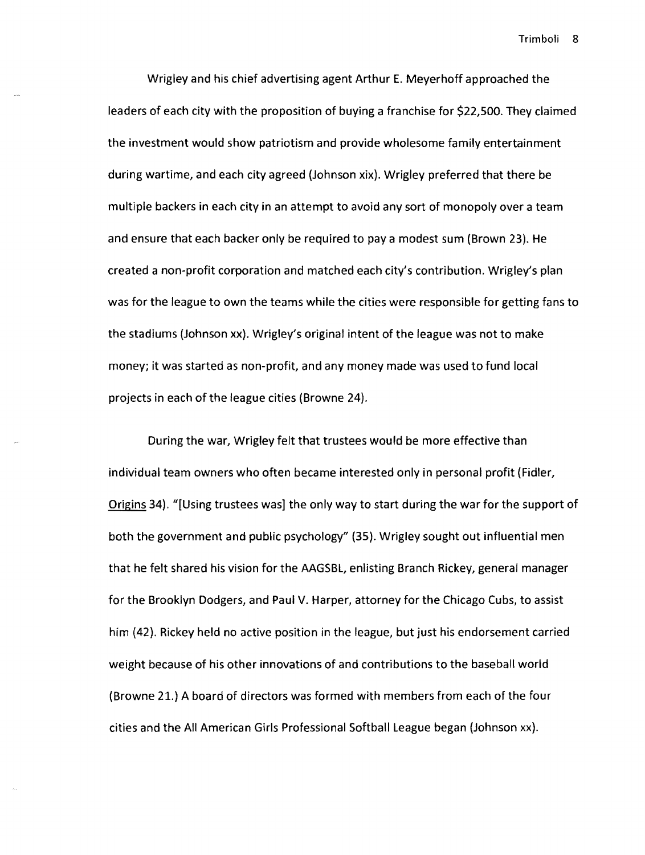Wrigley and his chief advertising agent Arthur E. Meyerhoff approached the leaders of each city with the proposition of buying a franchise for \$22,500. They claimed the investment would show patriotism and provide wholesome family entertainment during wartime, and each city agreed (Johnson xix). Wrigley preferred that there be multiple backers in each city in an attempt to avoid any sort of monopoly over a team and ensure that each backer only be required to pay a modest sum (Brown 23). He created a non-profit corporation and matched each city's contribution. Wrigley's plan was for the league to own the teams while the cities were responsible for getting fans to the stadiums (Johnson xx). Wrigley's original intent of the league was not to make money; it was started as non-profit, and any money made was used to fund local projects in each of the league cities (Browne 24).

During the war, Wrigley felt that trustees would be more effective than individual team owners who often became interested only in personal profit (Fidler, Origins 34). "[Using trustees was] the only way to start during the war for the support of both the government and public psychology" (35). Wrigley sought out influential men that he felt shared his vision for the AAGSBL, enlisting Branch Rickey, general manager for the Brooklyn Dodgers, and Paul V. Harper, attorney for the Chicago Cubs, to assist him (42). Rickey held no active position in the league, but just his endorsement carried weight because of his other innovations of and contributions to the baseball world (Browne 21.) A board of directors was formed with members from each of the four cities and the All American Girls Professional Softball League began (Johnson xx).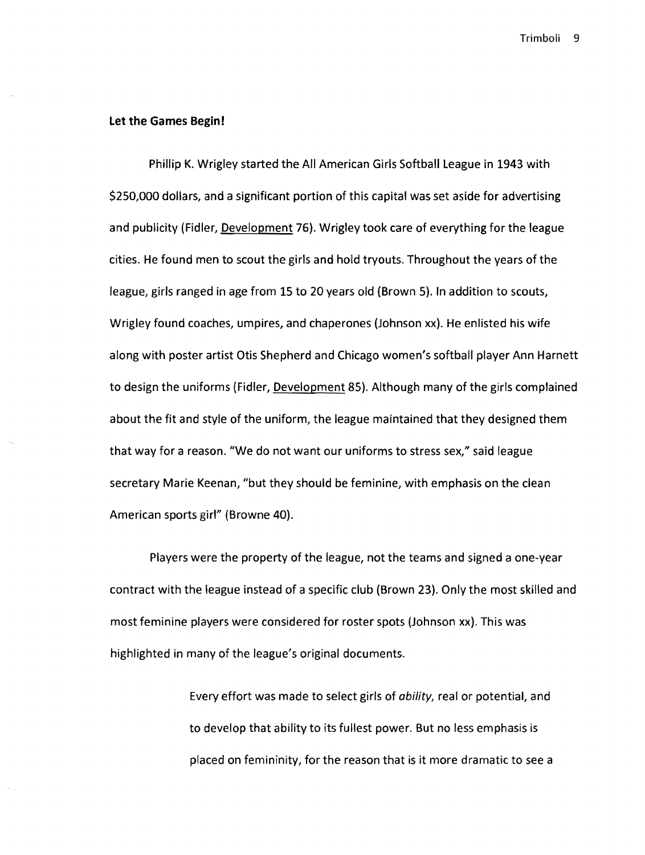#### **Let the Games Begin!**

Phillip K. Wrigley started the All American Girls Softball league in 1943 with \$250,000 dollars, and a significant portion of this capital was set aside for advertising and publicity (Fidler, Development 76). Wrigley took care of everything for the league cities. He found men to scout the girls and hold tryouts. Throughout the years of the league, girls ranged in age from 15 to 20 years old (Brown 5). In addition to scouts, Wrigley found coaches, umpires, and chaperones (Johnson xx). He enlisted his wife along with poster artist Otis Shepherd and Chicago women's softball player Ann Harnett to design the uniforms (Fidler, Development 85). Although many of the girls complained about the fit and style of the uniform, the league maintained that they designed them that way for a reason. "We do not want our uniforms to stress sex," said league secretary Marie Keenan, "but they should be feminine, with emphasis on the clean American sports girl" (Browne 40).

Players were the property of the league, not the teams and signed a one-year contract with the league instead of a specific club (Brown 23). Only the most skilled and most feminine players were considered for roster spots (Johnson xx). This was highlighted in many of the league's original documents.

> Every effort was made to select girls of ability, real or potential, and to develop that ability to its fullest power. But no less emphasis is placed on femininity, for the reason that is it more dramatic to see a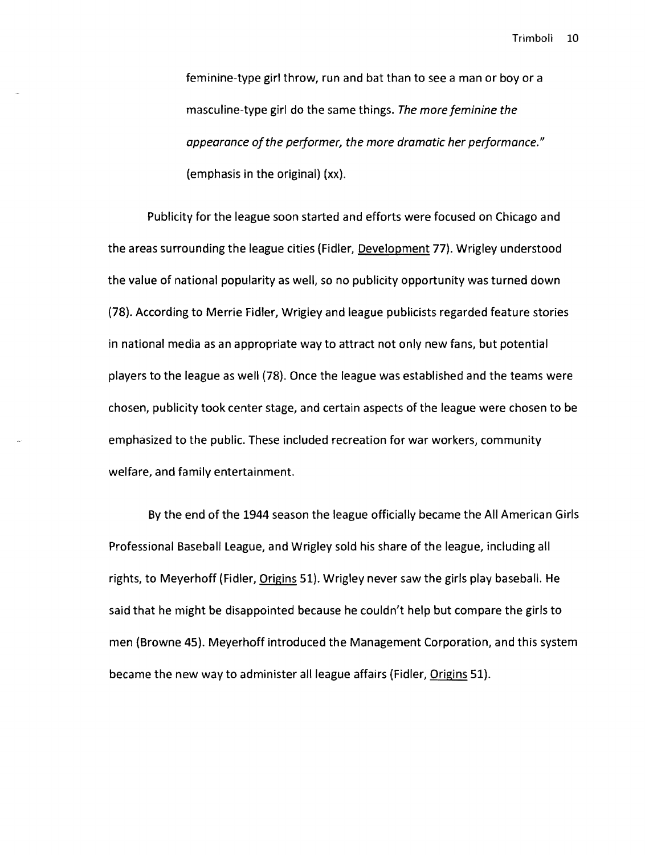feminine-type girl throw, run and bat than to see a man or boy or a masculine-type girl do the same things. *The more feminine the appearance of the performer, the more dramatic her performance."*  (emphasis in the original) (xx).

Publicity for the league soon started and efforts were focused on Chicago and the areas surrounding the league cities (Fidler, Development 77). Wrigley understood the value of national popularity as well, so no publicity opportunity was turned down (78). According to Merrie Fidler, Wrigley and league publicists regarded feature stories in national media as an appropriate way to attract not only new fans, but potential players to the league as well (78). Once the league was established and the teams were chosen, publicity took center stage, and certain aspects of the league were chosen to be emphasized to the public. These included recreation for war workers, community welfare, and family entertainment.

By the end of the 1944 season the league officially became the All American Girls Professional Baseball league, and Wrigley sold his share of the league, including all rights, to Meyerhoff (Fidler, Origins 51). Wrigley never saw the girls play baseball. He said that he might be disappointed because he couldn't help but compare the girls to men (Browne 45). Meyerhoff introduced the Management Corporation, and this system became the new way to administer all league affairs (Fidler, Origins 51).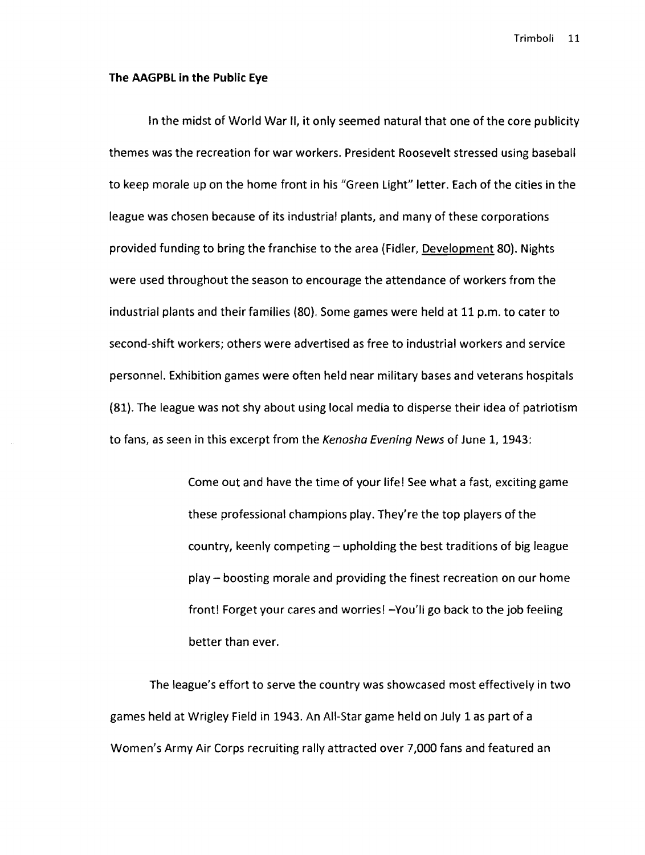#### **The AAGPBL in the Public Eye**

In the midst of World War II, it only seemed natural that one of the core publicity themes was the recreation for war workers. President Roosevelt stressed using baseball to keep morale up on the home front in his "Green light" letter. Each of the cities in the league was chosen because of its industrial plants, and many of these corporations provided funding to bring the franchise to the area (Fidler, Development 80). Nights were used throughout the season to encourage the attendance of workers from the industrial plants and their families (80). Some games were held at 11 p.m. to cater to second-shift workers; others were advertised as free to industrial workers and service personnel. Exhibition games were often held near military bases and veterans hospitals (81). The league was not shy about using local media to disperse their idea of patriotism to fans, as seen in this excerpt from the Kenosha Evening News of June 1, 1943:

> Come out and have the time of your life! See what a fast, exciting game these professional champions play. They're the top players of the country, keenly competing - upholding the best traditions of big league play - boosting morale and providing the finest recreation on our home front! Forget your cares and worries! -You'll go back to the job feeling better than ever.

The league's effort to serve the country was showcased most effectively in two games held at Wrigley Field in 1943. An All-Star game held on July 1 as part of a Women's Army Air Corps recruiting rally attracted over 7,000 fans and featured an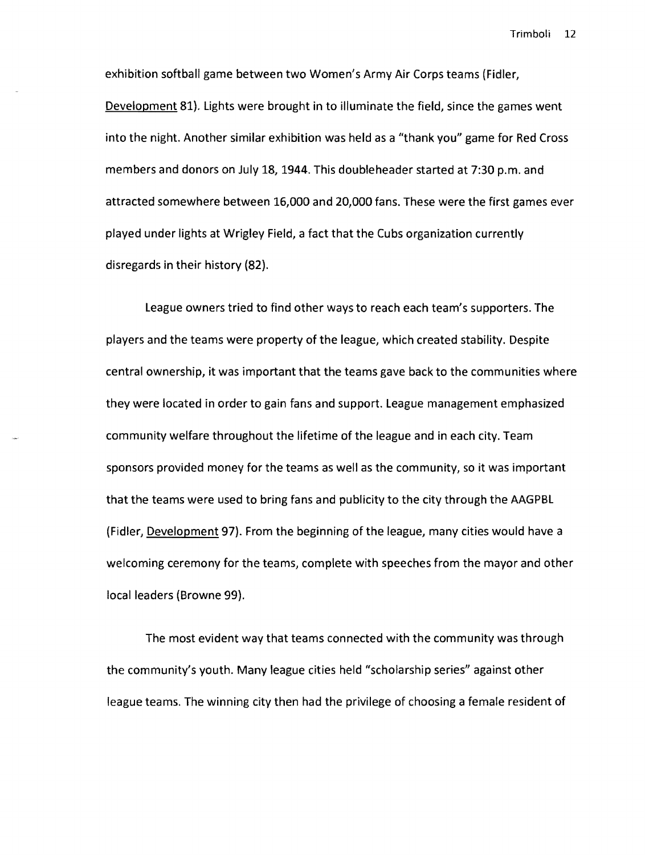exhibition softball game between two Women's Army Air Corps teams (Fidler, Development 81). lights were brought in to illuminate the field, since the games went into the night. Another similar exhibition was held as a "thank you" game for Red Cross members and donors on July 18, 1944. This doubleheader started at 7:30 p.m. and attracted somewhere between 16,000 and 20,000 fans. These were the first games ever played under lights at Wrigley Field, a fact that the Cubs organization currently disregards in their history (82).

league owners tried to find other ways to reach each team's supporters. The players and the teams were property of the league, which created stability. Despite central ownership, it was important that the teams gave back to the communities where they were located in order to gain fans and support. league management emphasized community welfare throughout the lifetime of the league and in each city. Team sponsors provided money for the teams as well as the community, so it was important that the teams were used to bring fans and publicity to the city through the AAGPBl (Fidler, Development 97). From the beginning of the league, many cities would have a welcoming ceremony for the teams, complete with speeches from the mayor and other local leaders (Browne 99).

The most evident way that teams connected with the community was through the community's youth. Many league cities held "scholarship series" against other league teams. The winning city then had the privilege of choosing a female resident of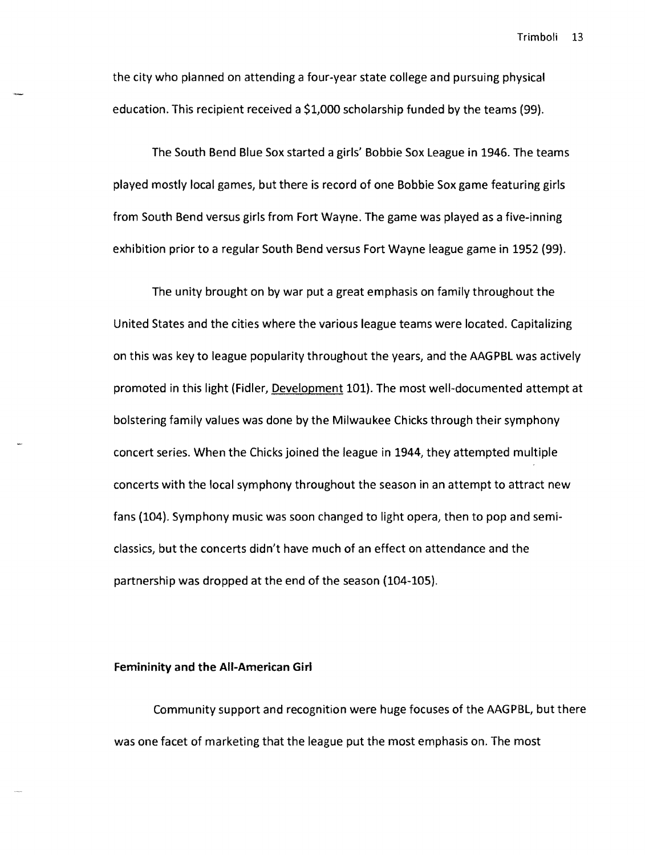the city who planned on attending a four-year state college and pursuing physical education. This recipient received a \$1,000 scholarship funded by the teams (99).

The South Bend Blue Sox started a girls' Bobbie Sox league in 1946. The teams played mostly local games, but there is record of one Bobbie Sox game featuring girls from South Bend versus girls from Fort Wayne. The game was played as a five-inning exhibition prior to a regular South Bend versus Fort Wayne league game in 1952 (99).

The unity brought on by war put a great emphasis on family throughout the United States and the cities where the various league teams were located. Capitalizing on this was key to league popularity throughout the years, and the AAGPBl was actively promoted in this light (Fidler, Development 101). The most well-documented attempt at bolstering family values was done by the Milwaukee Chicks through their symphony concert series. When the Chicks joined the league in 1944, they attempted multiple concerts with the local symphony throughout the season in an attempt to attract new fans (104). Symphony music was soon changed to light opera, then to pop and semiclassics, but the concerts didn't have much of an effect on attendance and the partnership was dropped at the end of the season (104-105).

#### Femininity and the All-American Girl

Community support and recognition were huge focuses of the AAGPBl, but there was one facet of marketing that the league put the most emphasis on. The most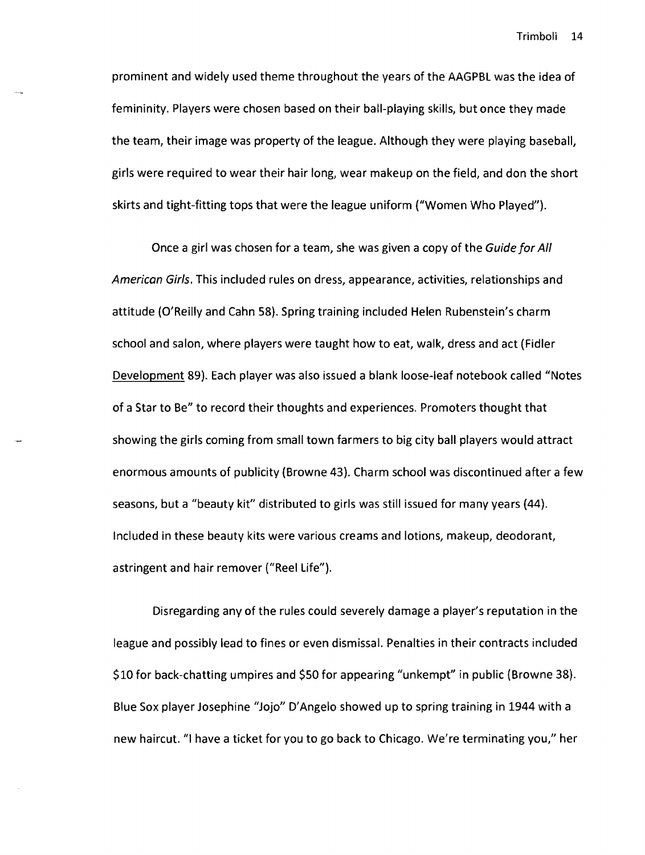prominent and widely used theme throughout the years of the AAGPBL was the idea of femininity. Players were chosen based on their ball-playing skills, but once they made the team, their image was property of the league. Although they were playing baseball, girls were required to wear their hair long, wear makeup on the field, and don the short skirts and tight-fitting tops that were the league uniform ("Women Who Played").

Once a girl was chosen for a team, she was given a copy of the Guide for All American Girls. This included rules on dress, appearance, activities, relationships and attitude (O'Reilly and Cahn 58). Spring training included Helen Rubenstein's charm school and salon, where players were taught how to eat, walk, dress and act (Fidler Development 89). Each player was also issued a blank loose-leaf notebook called "Notes of a Star to Be" to record their thoughts and experiences. Promoters thought that showing the girls coming from small town farmers to big city ball players would attract enormous amounts of publicity (Browne 43). Charm school was discontinued after a few seasons, but a "beauty kit" distributed to girls was still issued for many years (44). Included in these beauty kits were various creams and lotions, makeup, deodorant, astringent and hair remover ("Reel Life").

Disregarding any of the rules could severely damage a player's reputation in the league and possibly lead to fines or even dismissal. Penalties in their contracts included \$10 for back-chatting umpires and \$50 for appearing "unkempt" in public (Browne 38). Blue Sox player Josephine "Jojo" D'Angelo showed up to spring training in 1944 with a new haircut. "I have a ticket for you to go back to Chicago. We're terminating you," her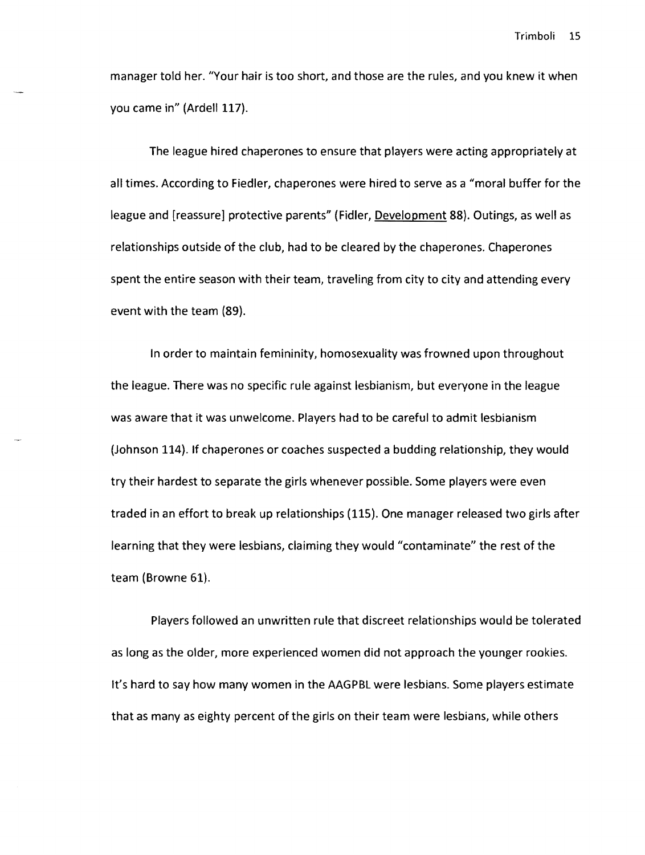manager told her. "Your hair is too short, and those are the rules, and you knew it when you came in" (Ardell 117).

The league hired chaperones to ensure that players were acting appropriately at all times. According to Fiedler, chaperones were hired to serve as a "moral buffer for the league and [reassure] protective parents" (Fidler, Development 88). Outings, as well as relationships outside of the club, had to be cleared by the chaperones. Chaperones spent the entire season with their team, traveling from city to city and attending every event with the team (89).

In order to maintain femininity, homosexuality was frowned upon throughout the league. There was no specific rule against lesbianism, but everyone in the league was aware that it was unwelcome. Players had to be careful to admit lesbianism (Johnson 114). If chaperones or coaches suspected a budding relationship, they would try their hardest to separate the girls whenever possible. Some players were even traded in an effort to break up relationships (115). One manager released two girls after learning that they were lesbians, claiming they would "contaminate" the rest of the team (Browne 61).

Players followed an unwritten rule that discreet relationships would be tolerated as long as the older, more experienced women did not approach the younger rookies. It's hard to say how many women in the AAGPBL were lesbians. Some players estimate that as many as eighty percent of the girls on their team were lesbians, while others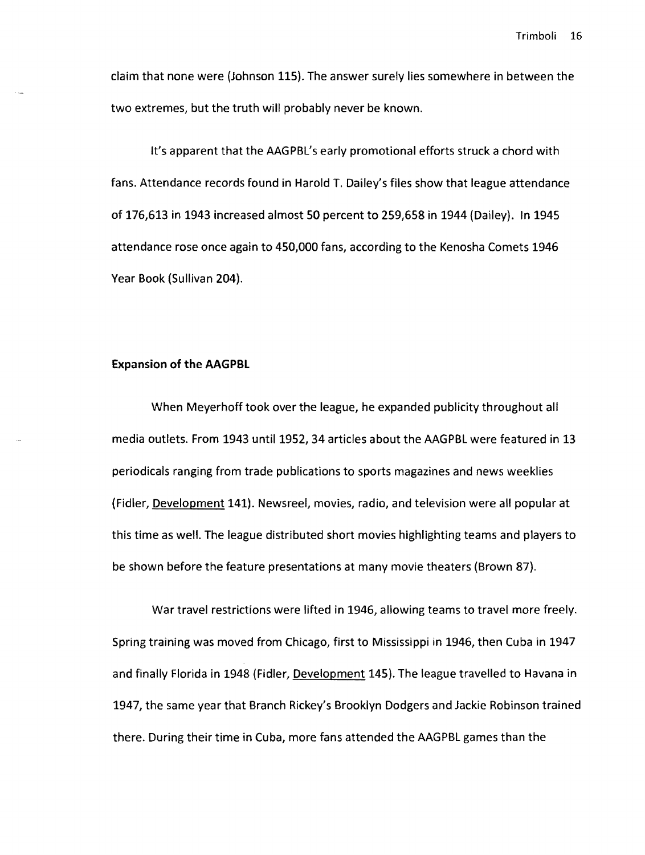claim that none were (Johnson 115). The answer surely lies somewhere in between the two extremes, but the truth will probably never be known.

It's apparent that the AAGPBL's early promotional efforts struck a chord with fans. Attendance records found in Harold T. Dailey's files show that league attendance of 176,613 in 1943 increased almost 50 percent to 259,658 in 1944 (Dailey). In 1945 attendance rose once again to 450,000 fans, according to the Kenosha Comets 1946 Year Book (Sullivan 204).

#### Expansion **of the AAGPBL**

When Meyerhoff took over the league, he expanded publicity throughout all media outlets. From 1943 until 1952, 34 articles about the AAGPBL were featured in 13 periodicals ranging from trade publications to sports magazines and news weeklies (Fidler, Development 141). Newsreel, movies, radio, and television were all popular at this time as well. The league distributed short movies highlighting teams and players to be shown before the feature presentations at many movie theaters (Brown 87).

War travel restrictions were lifted in 1946, allowing teams to travel more freely. Spring training was moved from Chicago, first to Mississippi in 1946, then Cuba in 1947 and finally Florida in 1948 (Fidler, Development 145). The league travelled to Havana in 1947, the same year that Branch Rickey's Brooklyn Dodgers and Jackie Robinson trained there. During their time in Cuba, more fans attended the AAGPBL games than the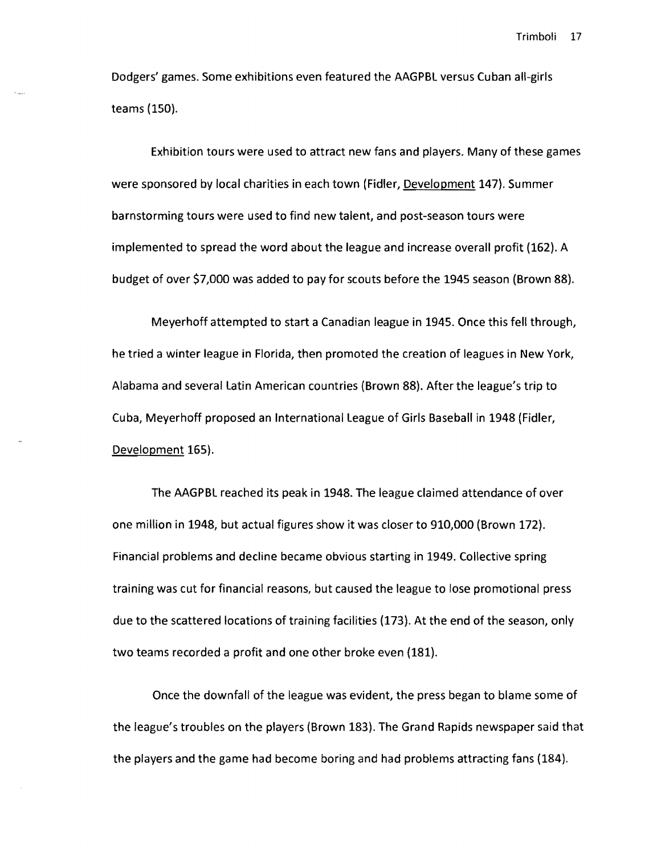Dodgers' games. Some exhibitions even featured the AAGPBl versus Cuban all-girls teams (150).

Exhibition tours were used to attract new fans and players. Many of these games were sponsored by local charities in each town (Fidler, Development 147). Summer barnstorming tours were used to find new talent, and post-season tours were implemented to spread the word about the league and increase overall profit (162). A budget of over \$7,000 was added to pay for scouts before the 1945 season (Brown 88).

Meyerhoff attempted to start a Canadian league in 1945. Once this felt through, he tried a winter league in Florida, then promoted the creation of leagues in New York, Alabama and several latin American countries (Brown 88). After the league's trip to Cuba, Meyerhoff proposed an International league of Girls Baseball in 1948 (Fidler, Development 165).

The AAGPBl reached its peak in 1948. The league claimed attendance of over one million in 1948, but actual figures show it was closer to 910,000 (Brown 172). Financial problems and decline became obvious starting in 1949. Collective spring training was cut for financial reasons, but caused the league to lose promotional press due to the scattered locations of training facilities (173). At the end of the season, only two teams recorded a profit and one other broke even (181).

Once the downfall of the league was evident, the press began to blame some of the league's troubles on the players (Brown 183). The Grand Rapids newspaper said that the players and the game had become boring and had problems attracting fans (184).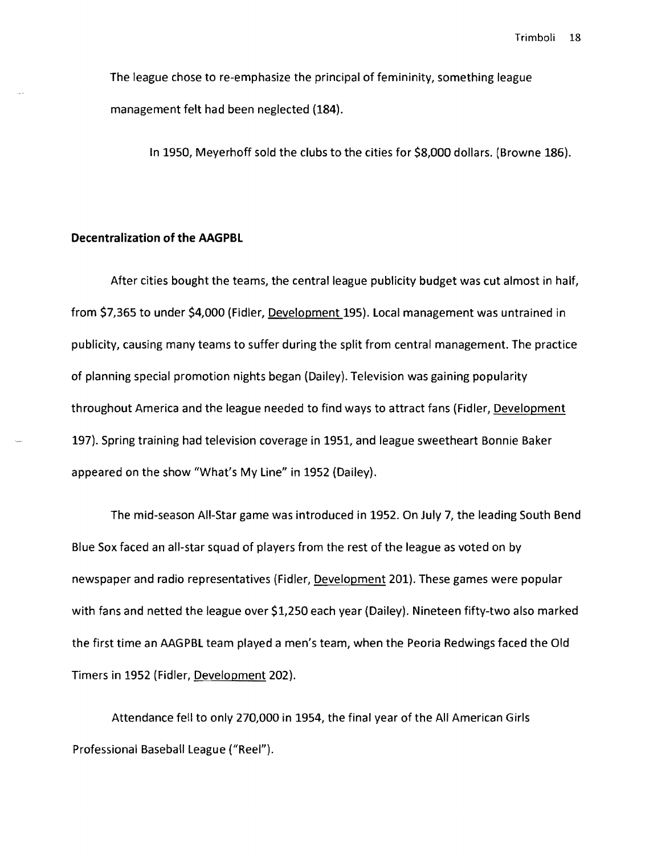The league chose to re-emphasize the principal of femininity, something league management felt had been neglected (184).

In 1950, Meyerhoff sold the clubs to the cities for \$8,000 dollars. (Browne 186).

#### **Decentralization of the AAGPBL**

After cities bought the teams, the central league publicity budget was cut almost in half, from \$7,365 to under \$4,000 (Fidler, Development 195). Local management was untrained in publicity, causing many teams to suffer during the split from central management. The practice of planning special promotion nights began (Dailey). Television was gaining popularity throughout America and the league needed to find ways to attract fans (Fidler, Development 197). Spring training had television coverage in 1951, and league sweetheart Bonnie Baker appeared on the show "What's My Line" in 1952 (Dailey).

The mid-season All-Star game was introduced in 1952. On July 7, the leading South Bend Blue Sox faced an all-star squad of players from the rest of the league as voted on by newspaper and radio representatives (Fidler, Development 201). These games were popular with fans and netted the league over \$1,250 each year (Dailey). Nineteen fifty-two also marked the first time an AAGPBL team played a men's team, when the Peoria Redwings faced the Old Timers in 1952 (Fidler, Development 202).

Attendance fell to only 270,000 in 1954, the final year of the All American Girls Professional Baseball league ("Reel").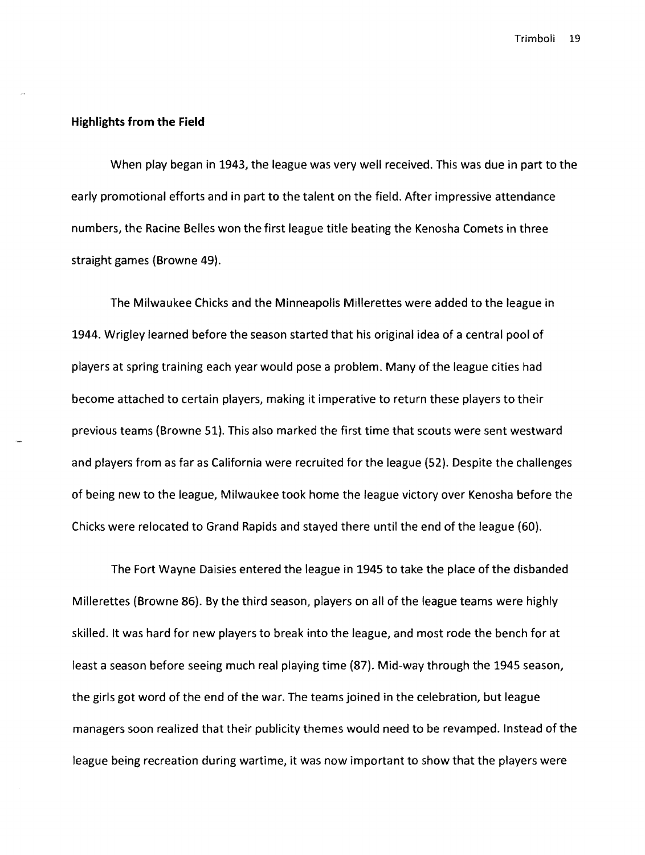## **Highlights from the Field**

When play began in 1943, the league was very well received. This was due in part to the early promotional efforts and in part to the talent on the field. After impressive attendance numbers, the Racine Belles won the first league title beating the Kenosha Comets in three straight games (Browne 49).

The Milwaukee Chicks and the Minneapolis Millerettes were added to the league in 1944. Wrigley learned before the season started that his original idea of a central pool of players at spring training each year would pose a problem. Many of the league cities had become attached to certain players, making it imperative to return these players to their previous teams (Browne 51). This also marked the first time that scouts were sent westward and players from as far as California were recruited for the league (52). Despite the challenges of being new to the league, Milwaukee took home the league victory over Kenosha before the Chicks were relocated to Grand Rapids and stayed there until the end of the league (60).

The Fort Wayne Daisies entered the league in 1945 to take the place of the disbanded Millerettes (Browne 86). By the third season, players on all of the league teams were highly skilled. It was hard for new players to break into the league, and most rode the bench for at least a season before seeing much real playing time (87). Mid-way through the 1945 season, the girls got word of the end of the war. The teams joined in the celebration, but league managers soon realized that their publicity themes would need to be revamped. Instead of the league being recreation during wartime, it was now important to show that the players were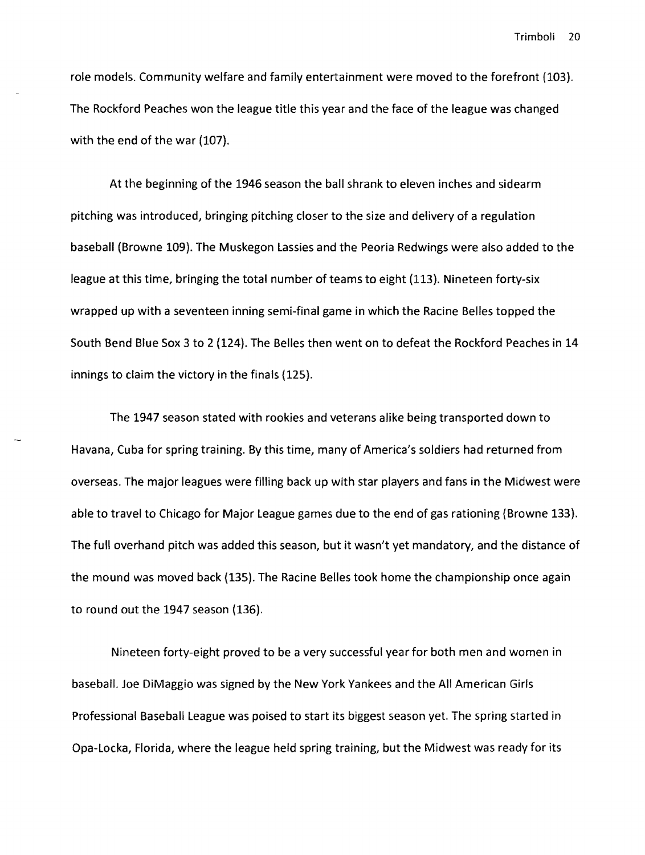role models. Community welfare and family entertainment were moved to the forefront (103). The Rockford Peaches won the league title this year and the face of the league was changed with the end of the war (107).

At the beginning of the 1946 season the ball shrank to eleven inches and sidearm pitching was introduced, bringing pitching closer to the size and delivery of a regulation baseball (Browne 109). The Muskegon lassies and the Peoria Redwings were also added to the league at this time, bringing the total number of teams to eight (113). Nineteen forty-six wrapped up with a seventeen inning semi-final game in which the Racine Belles topped the South Bend Blue Sox 3 to 2 (124). The Belles then went on to defeat the Rockford Peaches in 14 innings to claim the victory in the finals (12S).

The 1947 season stated with rookies and veterans alike being transported down to Havana, Cuba for spring training. By this time, many of America's soldiers had returned from overseas. The major leagues were filling back up with star players and fans in the Midwest were able to travel to Chicago for Major league games due to the end of gas rationing (Browne 133). The full overhand pitch was added this season, but it wasn't yet mandatory, and the distance of the mound was moved back (13S). The Racine Belles took home the championship once again to round out the 1947 season (136).

Nineteen forty-eight proved to be a very successful year for both men and women in baseball. Joe DiMaggio was signed by the New York Yankees and the All American Girls Professional Baseball league was poised to start its biggest season yet. The spring started in Opa-locka, Florida, where the league held spring training, but the Midwest was ready for its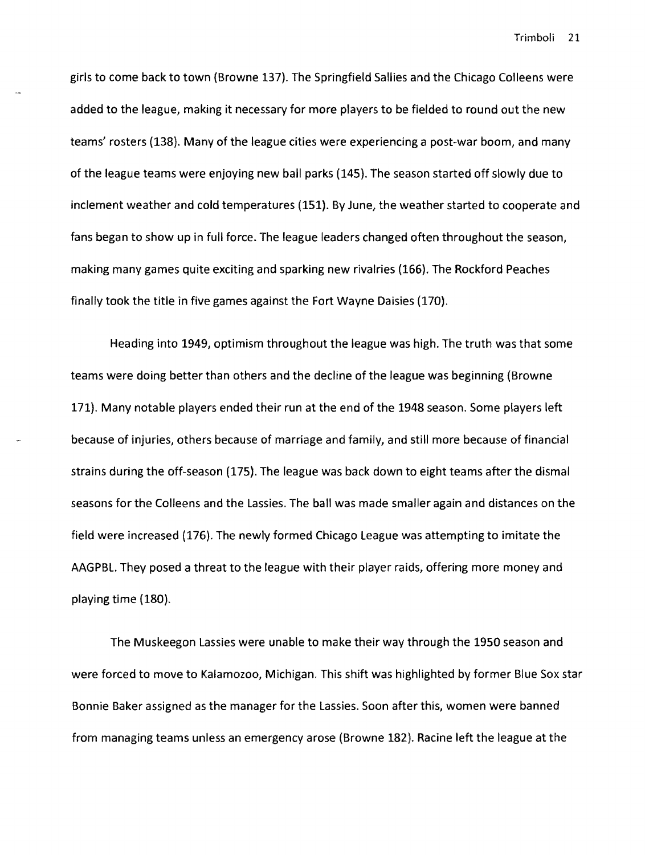girls to come back to town (Browne 137). The Springfield Sallies and the Chicago Colleens were added to the league, making it necessary for more players to be fielded to round out the new teams' rosters (138). Many of the league cities were experiencing a post-war boom, and many of the league teams were enjoying new ball parks (145). The season started off slowly due to inclement weather and cold temperatures (151). By June, the weather started to cooperate and fans began to show up in full force. The league leaders changed often throughout the season, making many games quite exciting and sparking new rivalries (166). The Rockford Peaches finally took the title in five games against the Fort Wayne Daisies (170).

Heading into 1949, optimism throughout the league was high. The truth was that some teams were doing better than others and the decline of the league was beginning (Browne 171). Many notable players ended their run at the end of the 1948 season. Some players left because of injuries, others because of marriage and family, and still more because of financial strains during the off-season (175). The league was back down to eight teams after the dismal seasons for the Colleens and the Lassies. The ball was made smaller again and distances on the field were increased (176). The newly formed Chicago League was attempting to imitate the AAGPBL. They posed a threat to the league with their player raids, offering more money and playing time (180).

The Muskeegon Lassies were unable to make their way through the 1950 season and were forced to move to Kalamozoo, Michigan. This shift was highlighted by former Blue Sox star Bonnie Baker assigned as the manager for the Lassies. Soon after this, women were banned from managing teams unless an emergency arose (Browne 182). Racine left the league at the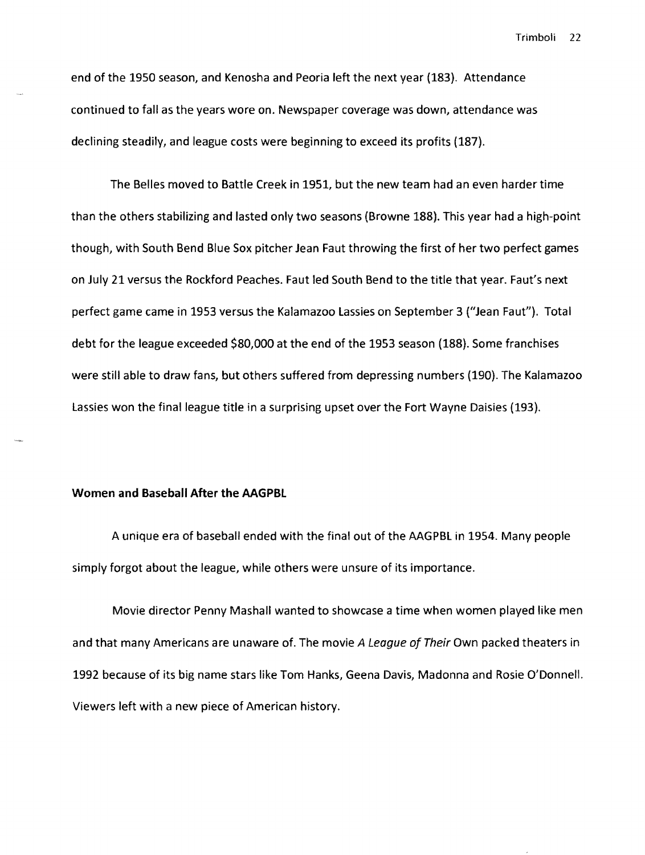end of the 1950 season, and Kenosha and Peoria left the next year (183). Attendance continued to fall as the years wore on. Newspaper coverage was down, attendance was declining steadily, and league costs were beginning to exceed its profits (187).

The Belles moved to Battle Creek in 1951, but the new team had an even harder time than the others stabilizing and lasted only two seasons (Browne 188). This year had a high-point though, with South Bend Blue Sox pitcher Jean Faut throwing the first of her two perfect games on July 21 versus the Rockford Peaches. Faut led South Bend to the title that year. Faut's next perfect game came in 1953 versus the Kalamazoo Lassies on September 3 ("Jean Faut"). Total debt for the league exceeded \$80,000 at the end of the 1953 season (188). Some franchises were still able to draw fans, but others suffered from depressing numbers (190). The Kalamazoo lassies won the final league title in a surprising upset over the Fort Wayne Daisies (193).

#### Women and Baseball After the **AAGPBL**

A unique era of baseball ended with the final out of the AAGPBl in 1954. Many people simply forgot about the league, while others were unsure of its importance.

Movie director Penny Mashall wanted to showcase a time when women played like men and that many Americans are unaware of. The movie A League of Their Own packed theaters in 1992 because of its big name stars like Tom Hanks, Geena Davis, Madonna and Rosie O'Donnell. Viewers left with a new piece of American history.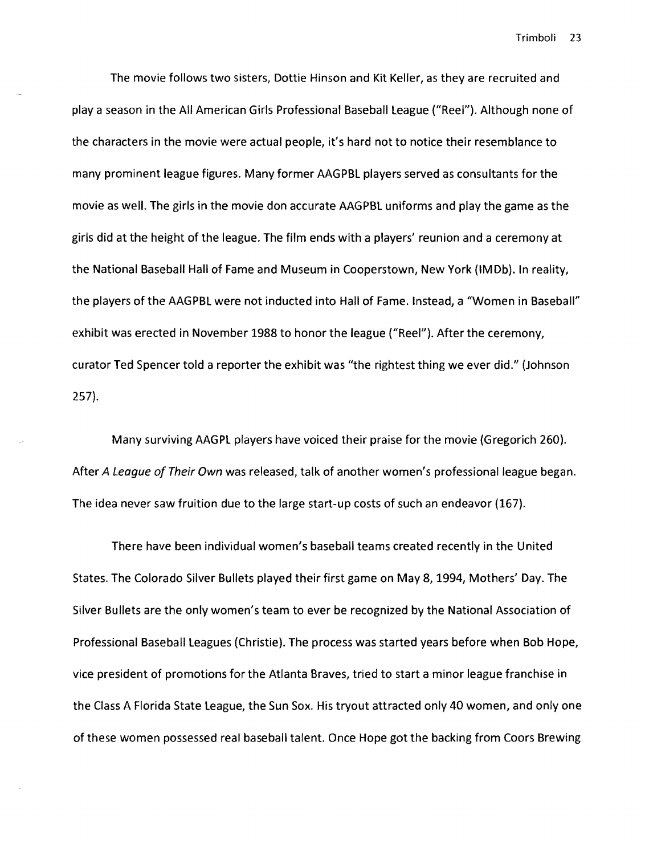The movie follows two sisters, Dottie Hinson and Kit Keller, as they are recruited and playa season in the All American Girls Professional Baseball league ("Reel"). Although none of the characters in the movie were actual people, it's hard not to notice their resemblance to many prominent league figures. Many former AAGPBl players served as consultants for the movie as well. The girls in the movie don accurate AAGPBl uniforms and play the game as the girls did at the height of the league. The film ends with a players' reunion and a ceremony at the National Baseball Hall of Fame and Museum in Cooperstown, New York {1M Db). In reality, the players of the AAGPBl were not inducted into Hall of Fame. Instead, a "Women in Baseball" exhibit was erected in November 1988 to honor the league ("Reel"). After the ceremony, curator Ted Spencer told a reporter the exhibit was "the rightest thing we ever did." (Johnson 257).

Many surviving AAGPl players have voiced their praise for the movie (Gregorich 260). After A League of Their Own was released, talk of another women's professional league began. The idea never saw fruition due to the large start-up costs of such an endeavor (167).

There have been individual women's baseball teams created recently in the United States. The Colorado Silver Bullets played their first game on May 8,1994, Mothers' Day. The Silver Bullets are the only women's team to ever be recognized by the National Association of Professional Baseball leagues (Christie). The process was started years before when Bob Hope, vice president of promotions for the Atlanta Braves, tried to start a minor league franchise in the Class A Florida State league, the Sun Sox. His tryout attracted only 40 women, and only one of these women possessed real baseball talent. Once Hope got the backing from Coors Brewing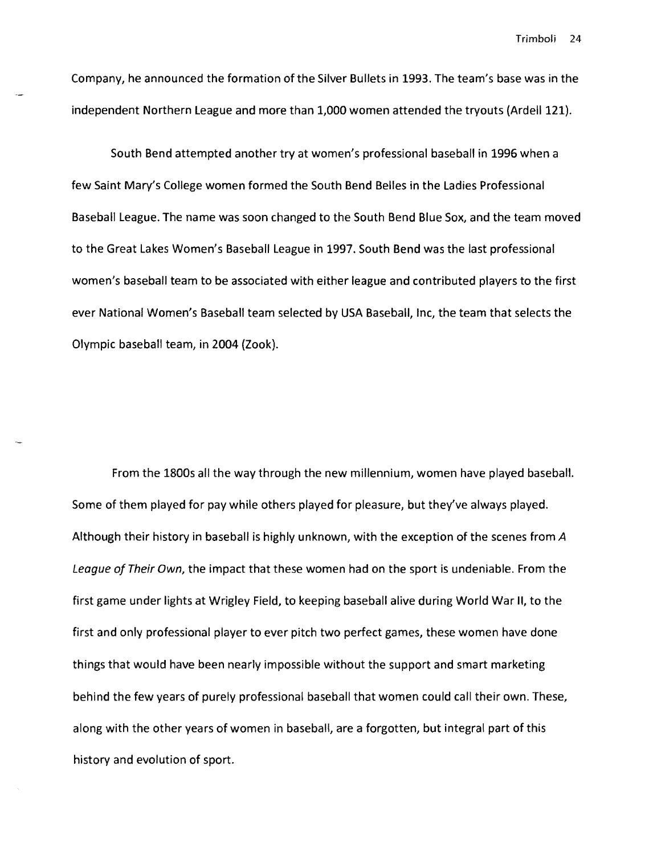Company, he announced the formation of the Silver Bullets in 1993. The team's base was in the independent Northern league and more than 1,000 women attended the tryouts (Ardell 121).

South Bend attempted another try at women's professional baseball in 1996 when a few Saint Mary's College women formed the South Bend Belles in the ladies Professional Baseball league. The name was soon changed to the South Bend Blue Sox, and the team moved to the Great lakes Women's Baseball league in 1997. South Bend was the last professional women's baseball team to be associated with either league and contributed players to the first ever National Women's Baseball team selected by USA Baseball, Inc, the team that selects the Olympic baseball team, in 2004 (Zook).

From the 1800s all the way through the new millennium, women have played baseball. Some of them played for pay while others played for pleasure, but they've always played. Although their history in baseball is highly unknown, with the exception of the scenes from A League of Their Own, the impact that these women had on the sport is undeniable. From the first game under lights at Wrigley Field, to keeping baseball alive during World War **II,** to the first and only professional player to ever pitch two perfect games, these women have done things that would have been nearly impossible without the support and smart marketing behind the few years of purely professional baseball that women could call their own. These, along with the other years of women in baseball, are a forgotten, but integral part of this history and evolution of sport.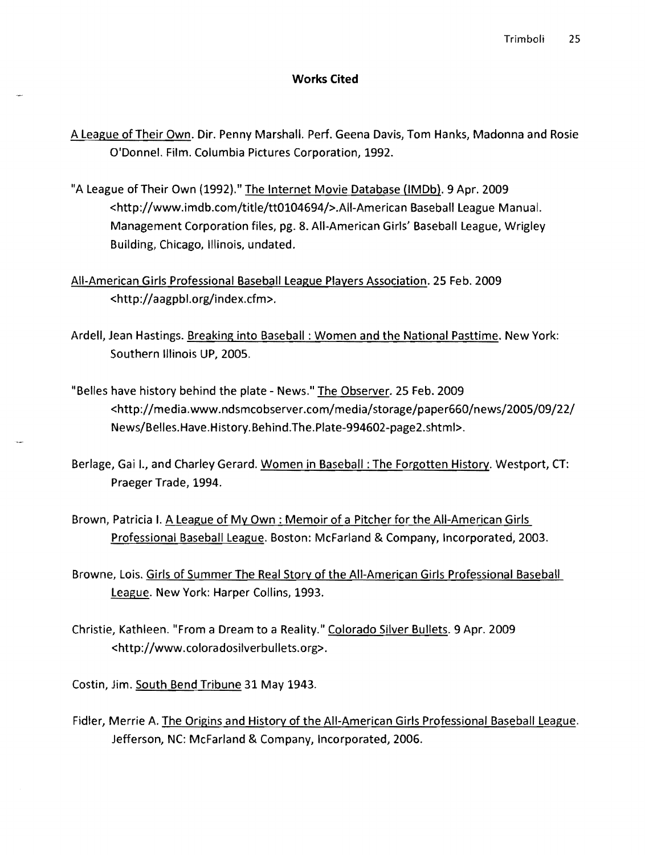#### **Works Cited**

- A league of Their Own. Dir. Penny Marshall. Perf. Geena Davis, Tom Hanks, Madonna and Rosie O'Donnel. Film. Columbia Pictures Corporation, 1992.
- "A League of Their Own (1992)." The Internet Movie Database (IMDb). 9 Apr. 2009 <http://www.imdb.com/title/tt0104694/>.AII-American Baseball league Manual. Management Corporation files, pg. 8. All-American Girls' Baseball league, Wrigley Building, Chicago, Illinois, undated.
- All-American Girls Professional Baseball league Players Association. 25 Feb. 2009 <http://aagpbl.org/index.cfm>.
- Ardell, Jean Hastings. Breaking into Baseball: Women and the National Pasttime. New York: Southern Illinois UP, 2005.
- "Belles have history behind the plate News." The Observer. 25 Feb. 2009 <http://media.www.ndsmcobserver .com/med i a/sto rage/ pape r660/news/2005/09/22/ News/Belles.Have.History.Behind.The.Plate-994602-page2.shtml>.
- Berlage, Gai I., and Charley Gerard. Women in Baseball: The Forgotten History. Westport, CT: Praeger Trade, 1994.
- Brown, Patricia I. A League of My Own: Memoir of a Pitcher for the All-American Girls Professional Baseball league. Boston: McFarland & Company, Incorporated, 2003.
- Browne, lois. Girls of Summer The Real Story of the All-American Girls Professional Baseball league. New York: Harper Collins, 1993.
- Christie, Kathleen. "From a Dream to a Reality." Colorado Silver Bullets. 9 Apr. 2009 <http://www.coloradosilverbullets.org>.
- Costin, Jim. South Bend Tribune 31 May 1943.
- Fidler, Merrie A. The Origins and History of the All-American Girls Professional Baseball league. Jefferson, NC: McFarland & Company, Incorporated, 2006.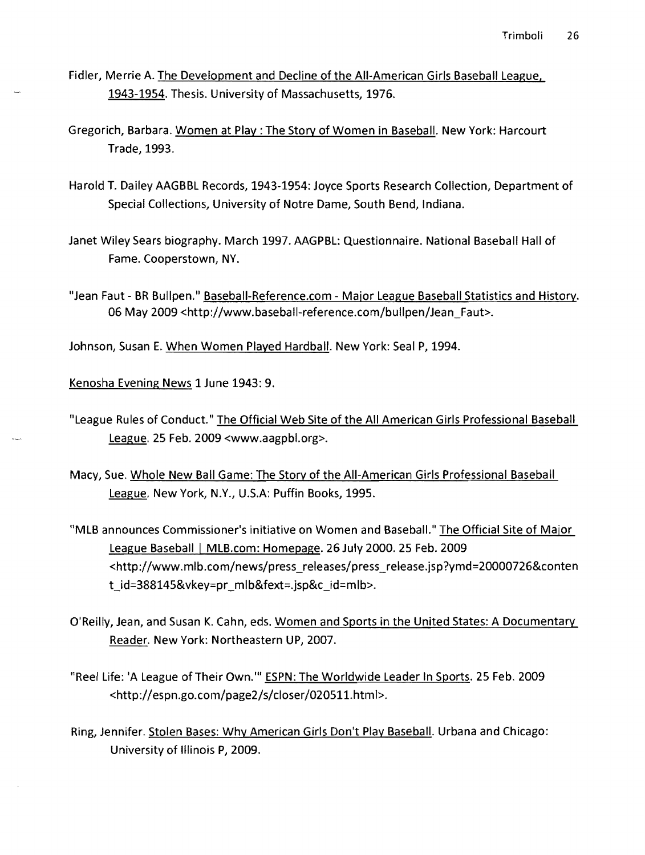Fidler, Merrie A. The Development and Decline of the All-American Girls Baseball League, 1943-1954. Thesis. University of Massachusetts, 1976.

- Gregorich, Barbara. Women at Play: The Story of Women in Baseball. New York: Harcourt Trade, 1993.
- Harold T. Dailey AAGBBL Records, 1943-1954: Joyce Sports Research Collection, Department of Special Collections, University of Notre Dame, South Bend, Indiana.
- Janet Wiley Sears biography. March 1997. AAGPBL: Questionnaire. National Baseball Hall of Fame. Cooperstown, NY.
- "Jean Faut BR Bullpen." Baseball-Reference.com Major League Baseball Statistics and History. 06 May 2009 <http://www.baseball-reference.com/bulipen/Jean\_Faut>.

Johnson, Susan E. When Women Played Hardball. New York: Seal P, 1994.

Kenosha Evening News 1 June 1943: 9.

- "League Rules of Conduct." The Official Web Site of the All American Girls Professional Baseball League. 25 Feb. 2009 <www.aagpbl.org>.
- Macy, Sue. Whole New Ball Game: The Story of the All-American Girls Professional Baseball League. New York, N.Y., U.S.A: Puffin Books, 1995.
- "MLB announces Commissioner's initiative on Women and BasebalL" The Official Site of Major League Baseball | MLB.com: Homepage. 26 July 2000. 25 Feb. 2009 <http://www.mlb.com/news/press\_releases/press\_release.jsp?ymd=20000726&conten t\_id=388145&vkey=pr\_mlb&fext=.jsp&c\_id=mlb>.
- O'Reilly, Jean, and Susan K. Cahn, eds. Women and Sports in the United States: A Documentary Reader. New York: Northeastern UP, 2007.
- "Reel Life: 'A League of Their Own.'" ESPN: The Worldwide Leader In Sports. 25 Feb. 2009 <http://espn.go.com/page2/s/cioser/020511.html>.
- Ring, Jennifer. Stolen Bases: Why American Girls Don't Play Baseball. Urbana and Chicago: University of Illinois P, 2009.